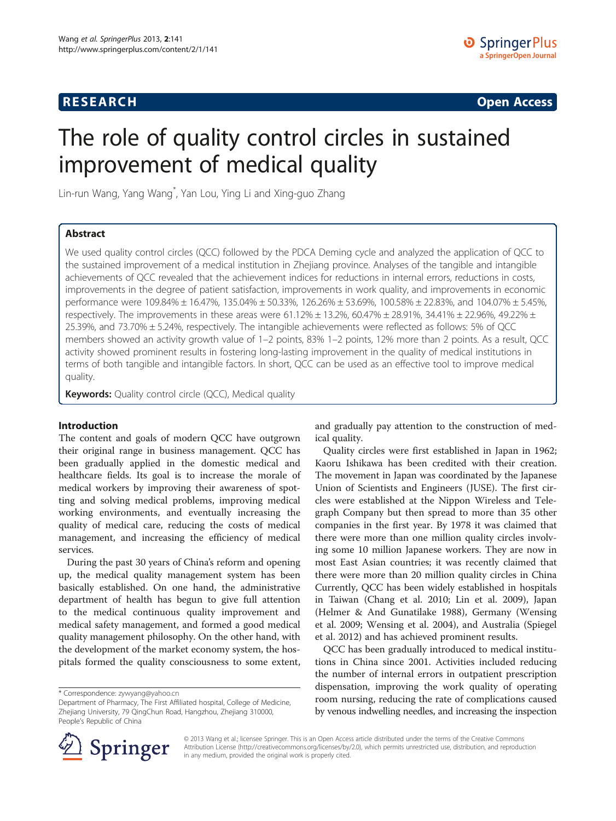## **RESEARCH RESEARCH CONSUMING ACCESS**

# The role of quality control circles in sustained improvement of medical quality

Lin-run Wang, Yang Wang\* , Yan Lou, Ying Li and Xing-guo Zhang

## Abstract

We used quality control circles (QCC) followed by the PDCA Deming cycle and analyzed the application of QCC to the sustained improvement of a medical institution in Zhejiang province. Analyses of the tangible and intangible achievements of QCC revealed that the achievement indices for reductions in internal errors, reductions in costs, improvements in the degree of patient satisfaction, improvements in work quality, and improvements in economic performance were 109.84% ± 16.47%, 135.04% ± 50.33%, 126.26% ± 53.69%, 100.58% ± 22.83%, and 104.07% ± 5.45%, respectively. The improvements in these areas were 61.12%  $\pm$  13.2%, 60.47%  $\pm$  28.91%, 34.41%  $\pm$  22.96%, 49.22%  $\pm$ 25.39%, and 73.70% ± 5.24%, respectively. The intangible achievements were reflected as follows: 5% of QCC members showed an activity growth value of 1–2 points, 83% 1–2 points, 12% more than 2 points. As a result, QCC activity showed prominent results in fostering long-lasting improvement in the quality of medical institutions in terms of both tangible and intangible factors. In short, QCC can be used as an effective tool to improve medical quality.

Keywords: Quality control circle (QCC), Medical quality

## Introduction

The content and goals of modern QCC have outgrown their original range in business management. QCC has been gradually applied in the domestic medical and healthcare fields. Its goal is to increase the morale of medical workers by improving their awareness of spotting and solving medical problems, improving medical working environments, and eventually increasing the quality of medical care, reducing the costs of medical management, and increasing the efficiency of medical services.

During the past 30 years of China's reform and opening up, the medical quality management system has been basically established. On one hand, the administrative department of health has begun to give full attention to the medical continuous quality improvement and medical safety management, and formed a good medical quality management philosophy. On the other hand, with the development of the market economy system, the hospitals formed the quality consciousness to some extent,

\* Correspondence: [zywyang@yahoo.cn](mailto:zywyang@yahoo.cn)

and gradually pay attention to the construction of medical quality.

Quality circles were first established in Japan in 1962; Kaoru Ishikawa has been credited with their creation. The movement in Japan was coordinated by the Japanese Union of Scientists and Engineers (JUSE). The first circles were established at the Nippon Wireless and Telegraph Company but then spread to more than 35 other companies in the first year. By 1978 it was claimed that there were more than one million quality circles involving some 10 million Japanese workers. They are now in most East Asian countries; it was recently claimed that there were more than 20 million quality circles in China Currently, QCC has been widely established in hospitals in Taiwan (Chang et al. [2010](#page-4-0); Lin et al. [2009\)](#page-4-0), Japan (Helmer & And Gunatilake [1988\)](#page-4-0), Germany (Wensing et al. [2009;](#page-4-0) Wensing et al. [2004](#page-4-0)), and Australia (Spiegel et al. [2012\)](#page-4-0) and has achieved prominent results.

QCC has been gradually introduced to medical institutions in China since 2001. Activities included reducing the number of internal errors in outpatient prescription dispensation, improving the work quality of operating room nursing, reducing the rate of complications caused by venous indwelling needles, and increasing the inspection



© 2013 Wang et al.; licensee Springer. This is an Open Access article distributed under the terms of the Creative Commons Attribution License [\(http://creativecommons.org/licenses/by/2.0\)](http://creativecommons.org/licenses/by/2.0), which permits unrestricted use, distribution, and reproduction in any medium, provided the original work is properly cited.

Department of Pharmacy, The First Affiliated hospital, College of Medicine, Zhejiang University, 79 QingChun Road, Hangzhou, Zhejiang 310000, People's Republic of China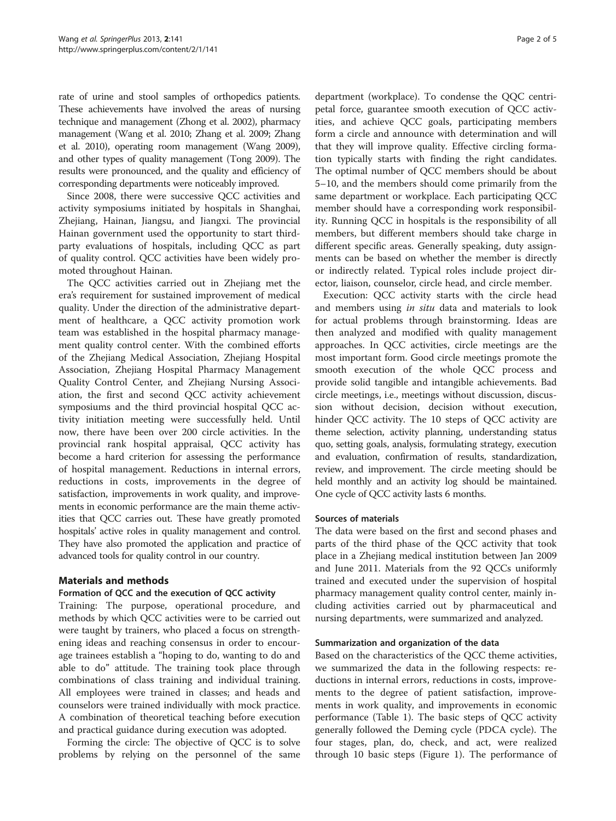rate of urine and stool samples of orthopedics patients. These achievements have involved the areas of nursing technique and management (Zhong et al. [2002\)](#page-4-0), pharmacy management (Wang et al. [2010](#page-4-0); Zhang et al. [2009;](#page-4-0) Zhang et al. [2010](#page-4-0)), operating room management (Wang [2009](#page-4-0)), and other types of quality management (Tong [2009\)](#page-4-0). The results were pronounced, and the quality and efficiency of corresponding departments were noticeably improved.

Since 2008, there were successive QCC activities and activity symposiums initiated by hospitals in Shanghai, Zhejiang, Hainan, Jiangsu, and Jiangxi. The provincial Hainan government used the opportunity to start thirdparty evaluations of hospitals, including QCC as part of quality control. QCC activities have been widely promoted throughout Hainan.

The QCC activities carried out in Zhejiang met the era's requirement for sustained improvement of medical quality. Under the direction of the administrative department of healthcare, a QCC activity promotion work team was established in the hospital pharmacy management quality control center. With the combined efforts of the Zhejiang Medical Association, Zhejiang Hospital Association, Zhejiang Hospital Pharmacy Management Quality Control Center, and Zhejiang Nursing Association, the first and second QCC activity achievement symposiums and the third provincial hospital QCC activity initiation meeting were successfully held. Until now, there have been over 200 circle activities. In the provincial rank hospital appraisal, QCC activity has become a hard criterion for assessing the performance of hospital management. Reductions in internal errors, reductions in costs, improvements in the degree of satisfaction, improvements in work quality, and improvements in economic performance are the main theme activities that QCC carries out. These have greatly promoted hospitals' active roles in quality management and control. They have also promoted the application and practice of advanced tools for quality control in our country.

## Materials and methods

## Formation of QCC and the execution of QCC activity

Training: The purpose, operational procedure, and methods by which QCC activities were to be carried out were taught by trainers, who placed a focus on strengthening ideas and reaching consensus in order to encourage trainees establish a "hoping to do, wanting to do and able to do" attitude. The training took place through combinations of class training and individual training. All employees were trained in classes; and heads and counselors were trained individually with mock practice. A combination of theoretical teaching before execution and practical guidance during execution was adopted.

Forming the circle: The objective of QCC is to solve problems by relying on the personnel of the same

department (workplace). To condense the QQC centripetal force, guarantee smooth execution of QCC activities, and achieve QCC goals, participating members form a circle and announce with determination and will that they will improve quality. Effective circling formation typically starts with finding the right candidates. The optimal number of QCC members should be about 5–10, and the members should come primarily from the same department or workplace. Each participating QCC member should have a corresponding work responsibility. Running QCC in hospitals is the responsibility of all members, but different members should take charge in different specific areas. Generally speaking, duty assignments can be based on whether the member is directly or indirectly related. Typical roles include project director, liaison, counselor, circle head, and circle member.

Execution: QCC activity starts with the circle head and members using in situ data and materials to look for actual problems through brainstorming. Ideas are then analyzed and modified with quality management approaches. In QCC activities, circle meetings are the most important form. Good circle meetings promote the smooth execution of the whole QCC process and provide solid tangible and intangible achievements. Bad circle meetings, i.e., meetings without discussion, discussion without decision, decision without execution, hinder QCC activity. The 10 steps of QCC activity are theme selection, activity planning, understanding status quo, setting goals, analysis, formulating strategy, execution and evaluation, confirmation of results, standardization, review, and improvement. The circle meeting should be held monthly and an activity log should be maintained. One cycle of QCC activity lasts 6 months.

#### Sources of materials

The data were based on the first and second phases and parts of the third phase of the QCC activity that took place in a Zhejiang medical institution between Jan 2009 and June 2011. Materials from the 92 QCCs uniformly trained and executed under the supervision of hospital pharmacy management quality control center, mainly including activities carried out by pharmaceutical and nursing departments, were summarized and analyzed.

#### Summarization and organization of the data

Based on the characteristics of the QCC theme activities, we summarized the data in the following respects: reductions in internal errors, reductions in costs, improvements to the degree of patient satisfaction, improvements in work quality, and improvements in economic performance (Table [1\)](#page-2-0). The basic steps of QCC activity generally followed the Deming cycle (PDCA cycle). The four stages, plan, do, check, and act, were realized through 10 basic steps (Figure [1\)](#page-2-0). The performance of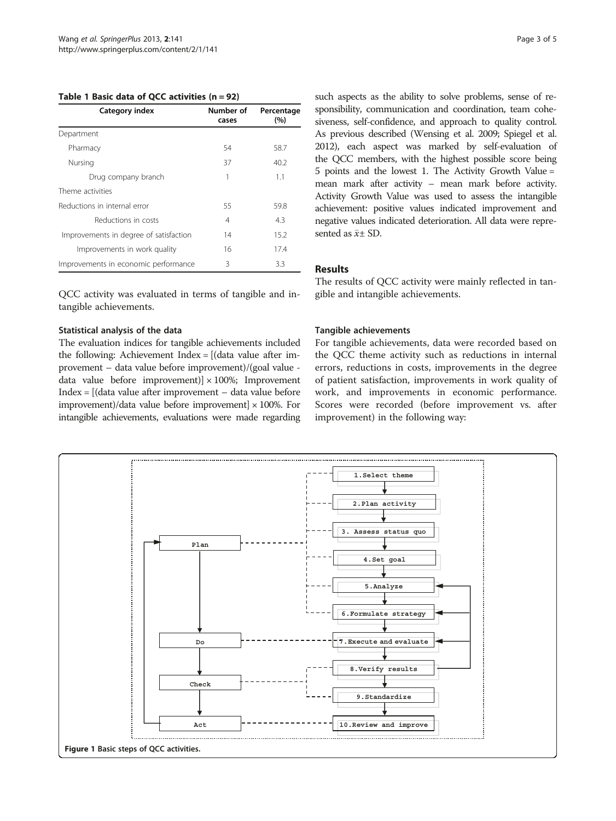#### <span id="page-2-0"></span>Table 1 Basic data of QCC activities  $(n = 92)$

| <b>Category index</b>                  | Number of<br>cases | Percentage<br>(%) |
|----------------------------------------|--------------------|-------------------|
| Department                             |                    |                   |
| Pharmacy                               | 54                 | 58.7              |
| Nursing                                | 37                 | 40.2              |
| Drug company branch                    | 1                  | 1.1               |
| Theme activities                       |                    |                   |
| Reductions in internal error           | 55                 | 59.8              |
| Reductions in costs                    | 4                  | 4.3               |
| Improvements in degree of satisfaction | 14                 | 15.2              |
| Improvements in work quality           | 16                 | 17.4              |
| Improvements in economic performance   | 3                  | 3.3               |

QCC activity was evaluated in terms of tangible and intangible achievements.

#### Statistical analysis of the data

The evaluation indices for tangible achievements included the following: Achievement Index = [(data value after improvement – data value before improvement)/(goal value data value before improvement) $\vert \times 100\%$ ; Improvement Index = [(data value after improvement – data value before improvement)/data value before improvement $\vert \times 100\%$ . For intangible achievements, evaluations were made regarding such aspects as the ability to solve problems, sense of responsibility, communication and coordination, team cohesiveness, self-confidence, and approach to quality control. As previous described (Wensing et al. [2009](#page-4-0); Spiegel et al. [2012](#page-4-0)), each aspect was marked by self-evaluation of the QCC members, with the highest possible score being 5 points and the lowest 1. The Activity Growth Value = mean mark after activity – mean mark before activity. Activity Growth Value was used to assess the intangible

## Results

sented as  $\bar{x}$  ± SD.

The results of QCC activity were mainly reflected in tangible and intangible achievements.

achievement: positive values indicated improvement and negative values indicated deterioration. All data were repre-

#### Tangible achievements

For tangible achievements, data were recorded based on the QCC theme activity such as reductions in internal errors, reductions in costs, improvements in the degree of patient satisfaction, improvements in work quality of work, and improvements in economic performance. Scores were recorded (before improvement vs. after improvement) in the following way:

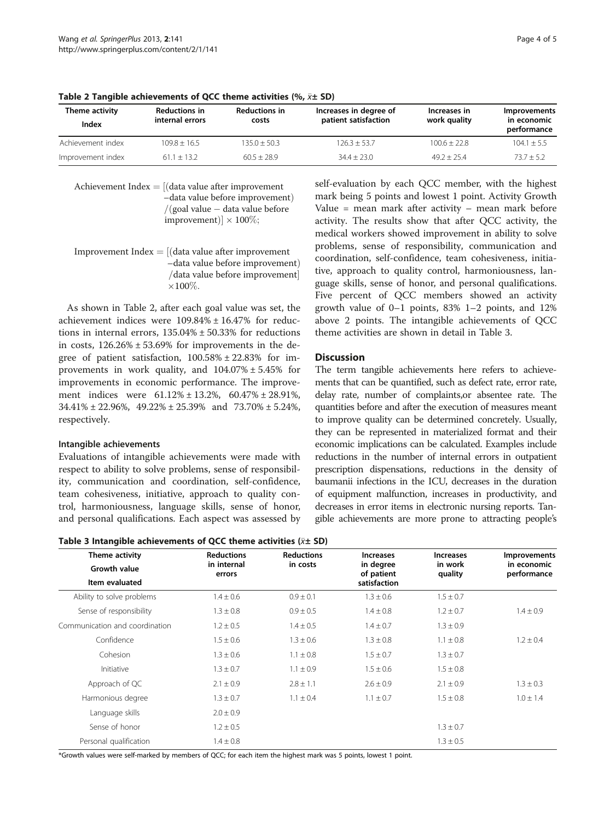| Theme activity<br>Index | <b>Reductions in</b><br>internal errors | <b>Reductions in</b><br>costs | Increases in degree of<br>patient satisfaction | Increases in<br>work quality | <b>Improvements</b><br>in economic<br>performance |
|-------------------------|-----------------------------------------|-------------------------------|------------------------------------------------|------------------------------|---------------------------------------------------|
| Achievement index       | $109.8 + 16.5$                          | $135.0 + 50.3$                | $126.3 + 53.7$                                 | $100.6 + 22.8$               | $104.1 \pm 5.5$                                   |
| Improvement index       | $61.1 + 13.2$                           | $60.5 + 28.9$                 | $34.4 + 23.0$                                  | $49.2 + 25.4$                | $73.7 + 5.2$                                      |

Table 2 Tangible achievements of QCC theme activities (%,  $\bar{x}$ ± SD)

Achievement Index  $=$  [(data value after improvement  $-d$ ata value before improvement $)$  $/$ (goal value – data value before improvement)  $\vert \times 100\%$ ;

Improvement Index  $=$  [(data value after improvement -data value before improvement) /data value before improvement  $\times 100\%$ .

As shown in Table 2, after each goal value was set, the achievement indices were 109.84% ± 16.47% for reductions in internal errors, 135.04% ± 50.33% for reductions in costs,  $126.26\% \pm 53.69\%$  for improvements in the degree of patient satisfaction,  $100.58\% \pm 22.83\%$  for improvements in work quality, and  $104.07\% \pm 5.45\%$  for improvements in economic performance. The improvement indices were 61.12% ± 13.2%, 60.47% ± 28.91%,  $34.41\% \pm 22.96\%, 49.22\% \pm 25.39\% \text{ and } 73.70\% \pm 5.24\%,$ respectively.

#### Intangible achievements

Evaluations of intangible achievements were made with respect to ability to solve problems, sense of responsibility, communication and coordination, self-confidence, team cohesiveness, initiative, approach to quality control, harmoniousness, language skills, sense of honor, and personal qualifications. Each aspect was assessed by self-evaluation by each QCC member, with the highest mark being 5 points and lowest 1 point. Activity Growth Value = mean mark after activity – mean mark before activity. The results show that after QCC activity, the medical workers showed improvement in ability to solve problems, sense of responsibility, communication and coordination, self-confidence, team cohesiveness, initiative, approach to quality control, harmoniousness, language skills, sense of honor, and personal qualifications. Five percent of QCC members showed an activity growth value of 0–1 points, 83% 1–2 points, and 12% above 2 points. The intangible achievements of QCC theme activities are shown in detail in Table 3.

## **Discussion**

The term tangible achievements here refers to achievements that can be quantified, such as defect rate, error rate, delay rate, number of complaints,or absentee rate. The quantities before and after the execution of measures meant to improve quality can be determined concretely. Usually, they can be represented in materialized format and their economic implications can be calculated. Examples include reductions in the number of internal errors in outpatient prescription dispensations, reductions in the density of baumanii infections in the ICU, decreases in the duration of equipment malfunction, increases in productivity, and decreases in error items in electronic nursing reports. Tangible achievements are more prone to attracting people's

Table 3 Intangible achievements of QCC theme activities  $(\bar{x} \pm SD)$ 

| Theme activity<br><b>Growth value</b> | <b>Reductions</b><br>in internal<br>errors | <b>Reductions</b><br>in costs | <b>Increases</b><br>in degree<br>of patient<br>satisfaction | <b>Increases</b><br>in work<br>quality | <b>Improvements</b><br>in economic<br>performance |
|---------------------------------------|--------------------------------------------|-------------------------------|-------------------------------------------------------------|----------------------------------------|---------------------------------------------------|
|                                       |                                            |                               |                                                             |                                        |                                                   |
| Ability to solve problems             | $1.4 \pm 0.6$                              | $0.9 \pm 0.1$                 |                                                             |                                        |                                                   |
| Sense of responsibility               | $1.3 \pm 0.8$                              | $0.9 \pm 0.5$                 | $1.4 \pm 0.8$                                               | $1.2 \pm 0.7$                          | $1.4 \pm 0.9$                                     |
| Communication and coordination        | $1.2 + 0.5$                                | $1.4 + 0.5$                   | $1.4 + 0.7$                                                 | $1.3 + 0.9$                            |                                                   |
| Confidence                            | $1.5 \pm 0.6$                              | $1.3 \pm 0.6$                 | $1.3 \pm 0.8$                                               | $1.1 \pm 0.8$                          | $1.2 + 0.4$                                       |
| Cohesion                              | $1.3 \pm 0.6$                              | $1.1 \pm 0.8$                 | $1.5 \pm 0.7$                                               | $1.3 \pm 0.7$                          |                                                   |
| Initiative                            | $1.3 \pm 0.7$                              | $1.1 + 0.9$                   | $1.5 \pm 0.6$                                               | $1.5 + 0.8$                            |                                                   |
| Approach of QC                        | $2.1 \pm 0.9$                              | $2.8 + 1.1$                   | $2.6 \pm 0.9$                                               | $2.1 + 0.9$                            | $1.3 + 0.3$                                       |
| Harmonious degree                     | $1.3 \pm 0.7$                              | $1.1 \pm 0.4$                 | $1.1 \pm 0.7$                                               | $1.5 \pm 0.8$                          | $1.0 \pm 1.4$                                     |
| Language skills                       | $2.0 \pm 0.9$                              |                               |                                                             |                                        |                                                   |
| Sense of honor                        | $1.2 \pm 0.5$                              |                               |                                                             | $1.3 + 0.7$                            |                                                   |
| Personal qualification                | $1.4 \pm 0.8$                              |                               |                                                             | $1.3 \pm 0.5$                          |                                                   |

\*Growth values were self-marked by members of QCC; for each item the highest mark was 5 points, lowest 1 point.